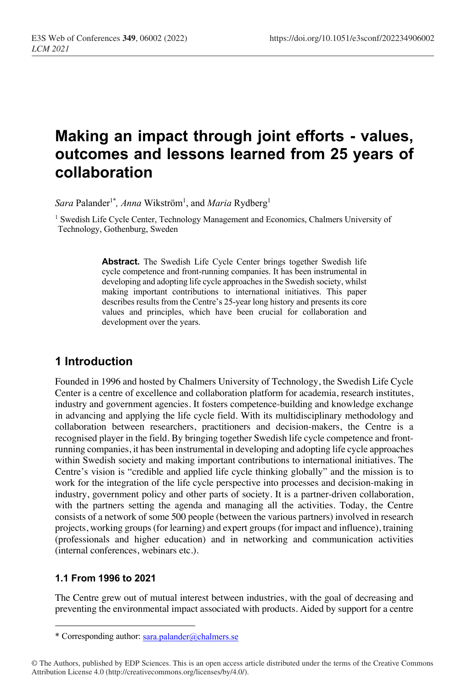# **Making an impact through joint efforts - values, outcomes and lessons learned from 25 years of collaboration**

 $\textit{Sara}$  Palander<sup>1\*</sup>, Anna Wikström<sup>1</sup>, and Maria Rydberg<sup>1</sup>

<sup>1</sup> Swedish Life Cycle Center, Technology Management and Economics, Chalmers University of Technology, Gothenburg, Sweden

> **Abstract.** The Swedish Life Cycle Center brings together Swedish life cycle competence and front-running companies. It has been instrumental in developing and adopting life cycle approaches in the Swedish society, whilst making important contributions to international initiatives. This paper describes results from the Centre's 25-year long history and presents its core values and principles, which have been crucial for collaboration and development over the years.

## **1 Introduction**

Founded in 1996 and hosted by Chalmers University of Technology, the Swedish Life Cycle Center is a centre of excellence and collaboration platform for academia, research institutes, industry and government agencies. It fosters competence-building and knowledge exchange in advancing and applying the life cycle field. With its multidisciplinary methodology and collaboration between researchers, practitioners and decision-makers, the Centre is a recognised player in the field. By bringing together Swedish life cycle competence and frontrunning companies, it has been instrumental in developing and adopting life cycle approaches within Swedish society and making important contributions to international initiatives. The Centre's vision is "credible and applied life cycle thinking globally" and the mission is to work for the integration of the life cycle perspective into processes and decision-making in industry, government policy and other parts of society. It is a partner-driven collaboration, with the partners setting the agenda and managing all the activities. Today, the Centre consists of a network of some 500 people (between the various partners) involved in research projects, working groups (for learning) and expert groups (for impact and influence), training (professionals and higher education) and in networking and communication activities (internal conferences, webinars etc.).

#### **1.1 From 1996 to 2021**

The Centre grew out of mutual interest between industries, with the goal of decreasing and preventing the environmental impact associated with products. Aided by support for a centre

<sup>\*</sup> Corresponding author: sara.palander@chalmers.se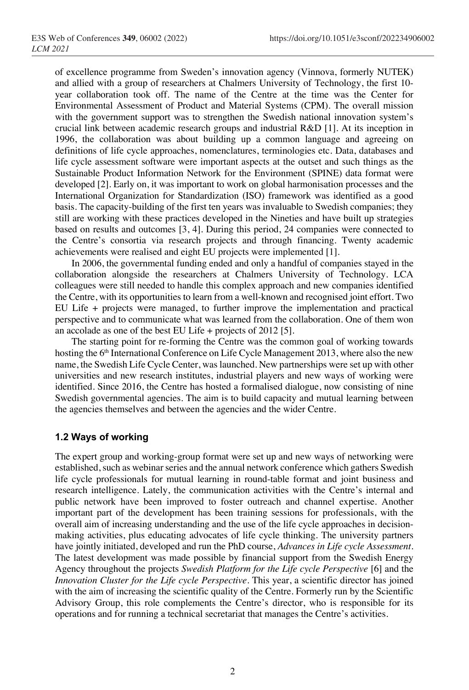of excellence programme from Sweden's innovation agency (Vinnova, formerly NUTEK) and allied with a group of researchers at Chalmers University of Technology, the first 10 year collaboration took off. The name of the Centre at the time was the Center for Environmental Assessment of Product and Material Systems (CPM). The overall mission with the government support was to strengthen the Swedish national innovation system's crucial link between academic research groups and industrial R&D [1]. At its inception in 1996, the collaboration was about building up a common language and agreeing on definitions of life cycle approaches, nomenclatures, terminologies etc. Data, databases and life cycle assessment software were important aspects at the outset and such things as the Sustainable Product Information Network for the Environment (SPINE) data format were developed [2]. Early on, it was important to work on global harmonisation processes and the International Organization for Standardization (ISO) framework was identified as a good basis. The capacity-building of the first ten years was invaluable to Swedish companies; they still are working with these practices developed in the Nineties and have built up strategies based on results and outcomes [3, 4]. During this period, 24 companies were connected to the Centre's consortia via research projects and through financing. Twenty academic achievements were realised and eight EU projects were implemented [1].

In 2006, the governmental funding ended and only a handful of companies stayed in the collaboration alongside the researchers at Chalmers University of Technology. LCA colleagues were still needed to handle this complex approach and new companies identified the Centre, with its opportunities to learn from a well-known and recognised joint effort. Two EU Life + projects were managed, to further improve the implementation and practical perspective and to communicate what was learned from the collaboration. One of them won an accolade as one of the best EU Life + projects of 2012 [5].

The starting point for re-forming the Centre was the common goal of working towards hosting the 6<sup>th</sup> International Conference on Life Cycle Management 2013, where also the new name, the Swedish Life Cycle Center, was launched. New partnerships were set up with other universities and new research institutes, industrial players and new ways of working were identified. Since 2016, the Centre has hosted a formalised dialogue, now consisting of nine Swedish governmental agencies. The aim is to build capacity and mutual learning between the agencies themselves and between the agencies and the wider Centre.

#### **1.2 Ways of working**

The expert group and working-group format were set up and new ways of networking were established, such as webinar series and the annual network conference which gathers Swedish life cycle professionals for mutual learning in round-table format and joint business and research intelligence. Lately, the communication activities with the Centre's internal and public network have been improved to foster outreach and channel expertise. Another important part of the development has been training sessions for professionals, with the overall aim of increasing understanding and the use of the life cycle approaches in decisionmaking activities, plus educating advocates of life cycle thinking. The university partners have jointly initiated, developed and run the PhD course, *Advances in Life cycle Assessment*. The latest development was made possible by financial support from the Swedish Energy Agency throughout the projects *Swedish Platform for the Life cycle Perspective* [6] and the *Innovation Cluster for the Life cycle Perspective*. This year, a scientific director has joined with the aim of increasing the scientific quality of the Centre. Formerly run by the Scientific Advisory Group, this role complements the Centre's director, who is responsible for its operations and for running a technical secretariat that manages the Centre's activities.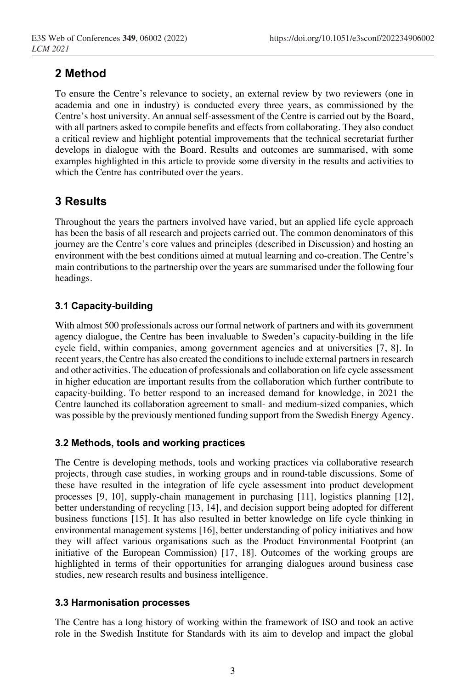# **2 Method**

To ensure the Centre's relevance to society, an external review by two reviewers (one in academia and one in industry) is conducted every three years, as commissioned by the Centre's host university. An annual self-assessment of the Centre is carried out by the Board, with all partners asked to compile benefits and effects from collaborating. They also conduct a critical review and highlight potential improvements that the technical secretariat further develops in dialogue with the Board. Results and outcomes are summarised, with some examples highlighted in this article to provide some diversity in the results and activities to which the Centre has contributed over the years.

# **3 Results**

Throughout the years the partners involved have varied, but an applied life cycle approach has been the basis of all research and projects carried out. The common denominators of this journey are the Centre's core values and principles (described in Discussion) and hosting an environment with the best conditions aimed at mutual learning and co-creation. The Centre's main contributions to the partnership over the years are summarised under the following four headings.

### **3.1 Capacity-building**

With almost 500 professionals across our formal network of partners and with its government agency dialogue, the Centre has been invaluable to Sweden's capacity-building in the life cycle field, within companies, among government agencies and at universities [7, 8]. In recent years, the Centre has also created the conditions to include external partners in research and other activities. The education of professionals and collaboration on life cycle assessment in higher education are important results from the collaboration which further contribute to capacity-building. To better respond to an increased demand for knowledge, in 2021 the Centre launched its collaboration agreement to small- and medium-sized companies, which was possible by the previously mentioned funding support from the Swedish Energy Agency.

### **3.2 Methods, tools and working practices**

The Centre is developing methods, tools and working practices via collaborative research projects, through case studies, in working groups and in round-table discussions. Some of these have resulted in the integration of life cycle assessment into product development processes [9, 10], supply-chain management in purchasing [11], logistics planning [12], better understanding of recycling [13, 14], and decision support being adopted for different business functions [15]. It has also resulted in better knowledge on life cycle thinking in environmental management systems [16], better understanding of policy initiatives and how they will affect various organisations such as the Product Environmental Footprint (an initiative of the European Commission) [17, 18]. Outcomes of the working groups are highlighted in terms of their opportunities for arranging dialogues around business case studies, new research results and business intelligence.

#### **3.3 Harmonisation processes**

The Centre has a long history of working within the framework of ISO and took an active role in the Swedish Institute for Standards with its aim to develop and impact the global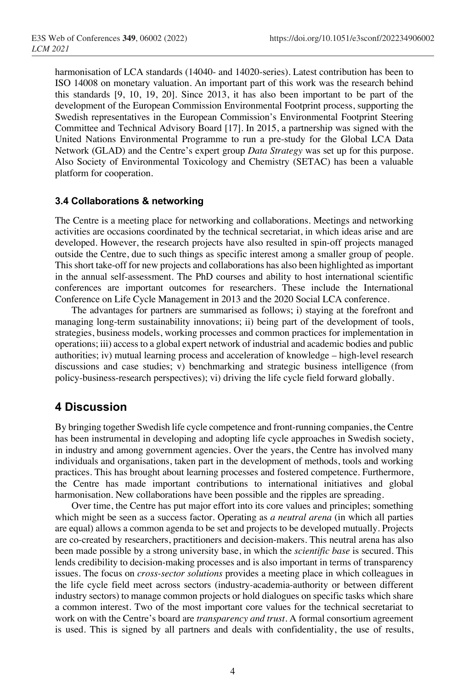harmonisation of LCA standards (14040- and 14020-series). Latest contribution has been to ISO 14008 on monetary valuation. An important part of this work was the research behind this standards [9, 10, 19, 20]. Since 2013, it has also been important to be part of the development of the European Commission Environmental Footprint process, supporting the Swedish representatives in the European Commission's Environmental Footprint Steering Committee and Technical Advisory Board [17]. In 2015, a partnership was signed with the United Nations Environmental Programme to run a pre-study for the Global LCA Data Network (GLAD) and the Centre's expert group *Data Strategy* was set up for this purpose. Also Society of Environmental Toxicology and Chemistry (SETAC) has been a valuable platform for cooperation.

#### **3.4 Collaborations & networking**

The Centre is a meeting place for networking and collaborations. Meetings and networking activities are occasions coordinated by the technical secretariat, in which ideas arise and are developed. However, the research projects have also resulted in spin-off projects managed outside the Centre, due to such things as specific interest among a smaller group of people. This short take-off for new projects and collaborations has also been highlighted as important in the annual self-assessment. The PhD courses and ability to host international scientific conferences are important outcomes for researchers. These include the International Conference on Life Cycle Management in 2013 and the 2020 Social LCA conference.

The advantages for partners are summarised as follows; i) staying at the forefront and managing long-term sustainability innovations; ii) being part of the development of tools, strategies, business models, working processes and common practices for implementation in operations; iii) access to a global expert network of industrial and academic bodies and public authorities; iv) mutual learning process and acceleration of knowledge – high-level research discussions and case studies; v) benchmarking and strategic business intelligence (from policy-business-research perspectives); vi) driving the life cycle field forward globally.

### **4 Discussion**

By bringing together Swedish life cycle competence and front-running companies, the Centre has been instrumental in developing and adopting life cycle approaches in Swedish society, in industry and among government agencies. Over the years, the Centre has involved many individuals and organisations, taken part in the development of methods, tools and working practices. This has brought about learning processes and fostered competence. Furthermore, the Centre has made important contributions to international initiatives and global harmonisation. New collaborations have been possible and the ripples are spreading.

Over time, the Centre has put major effort into its core values and principles; something which might be seen as a success factor. Operating as *a neutral arena* (in which all parties are equal) allows a common agenda to be set and projects to be developed mutually. Projects are co-created by researchers, practitioners and decision-makers. This neutral arena has also been made possible by a strong university base, in which the *scientific base* is secured. This lends credibility to decision-making processes and is also important in terms of transparency issues. The focus on *cross-sector solutions* provides a meeting place in which colleagues in the life cycle field meet across sectors (industry-academia-authority or between different industry sectors) to manage common projects or hold dialogues on specific tasks which share a common interest. Two of the most important core values for the technical secretariat to work on with the Centre's board are *transparency and trust*. A formal consortium agreement is used. This is signed by all partners and deals with confidentiality, the use of results,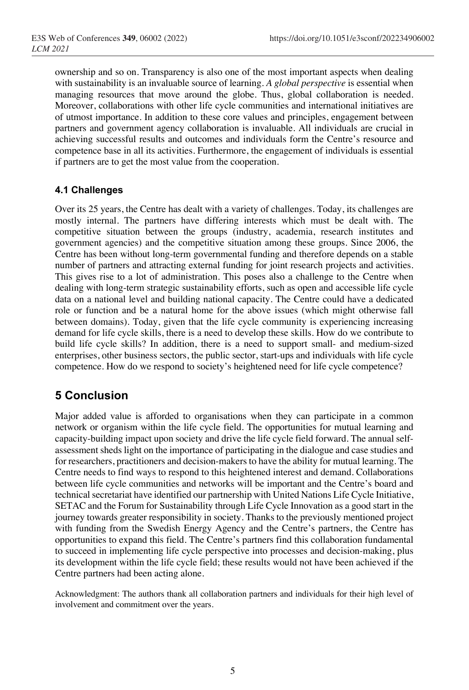ownership and so on. Transparency is also one of the most important aspects when dealing with sustainability is an invaluable source of learning. *A global perspective* is essential when managing resources that move around the globe. Thus, global collaboration is needed. Moreover, collaborations with other life cycle communities and international initiatives are of utmost importance. In addition to these core values and principles, engagement between partners and government agency collaboration is invaluable. All individuals are crucial in achieving successful results and outcomes and individuals form the Centre's resource and competence base in all its activities. Furthermore, the engagement of individuals is essential if partners are to get the most value from the cooperation.

#### **4.1 Challenges**

Over its 25 years, the Centre has dealt with a variety of challenges. Today, its challenges are mostly internal. The partners have differing interests which must be dealt with. The competitive situation between the groups (industry, academia, research institutes and government agencies) and the competitive situation among these groups. Since 2006, the Centre has been without long-term governmental funding and therefore depends on a stable number of partners and attracting external funding for joint research projects and activities. This gives rise to a lot of administration. This poses also a challenge to the Centre when dealing with long-term strategic sustainability efforts, such as open and accessible life cycle data on a national level and building national capacity. The Centre could have a dedicated role or function and be a natural home for the above issues (which might otherwise fall between domains). Today, given that the life cycle community is experiencing increasing demand for life cycle skills, there is a need to develop these skills. How do we contribute to build life cycle skills? In addition, there is a need to support small- and medium-sized enterprises, other business sectors, the public sector, start-ups and individuals with life cycle competence. How do we respond to society's heightened need for life cycle competence?

# **5 Conclusion**

Major added value is afforded to organisations when they can participate in a common network or organism within the life cycle field. The opportunities for mutual learning and capacity-building impact upon society and drive the life cycle field forward. The annual selfassessment sheds light on the importance of participating in the dialogue and case studies and for researchers, practitioners and decision-makers to have the ability for mutual learning. The Centre needs to find ways to respond to this heightened interest and demand. Collaborations between life cycle communities and networks will be important and the Centre's board and technical secretariat have identified our partnership with United Nations Life Cycle Initiative, SETAC and the Forum for Sustainability through Life Cycle Innovation as a good start in the journey towards greater responsibility in society. Thanks to the previously mentioned project with funding from the Swedish Energy Agency and the Centre's partners, the Centre has opportunities to expand this field. The Centre's partners find this collaboration fundamental to succeed in implementing life cycle perspective into processes and decision-making, plus its development within the life cycle field; these results would not have been achieved if the Centre partners had been acting alone.

Acknowledgment: The authors thank all collaboration partners and individuals for their high level of involvement and commitment over the years.